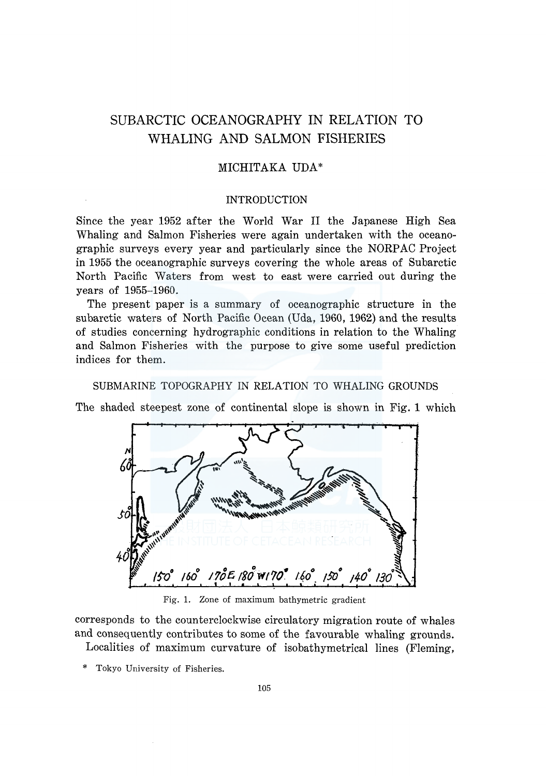# SUBARCTIC OCEANOGRAPHY IN RELATION TO WHALING AND SALMON FISHERIES

## MICHITAKA UDA\*

#### INTRODUCTION

Since the year 1952 after the World War II the Japanese High Sea Whaling and Salmon Fisheries were again undertaken with the oceanographic surveys every year and particularly since the NORPAC Project in 1955 the oceanographic surveys covering the whole areas of Subarctic North Pacific Waters from west to east were carried out during the years of 1955-1960.

The present paper is a summary of oceanographic structure in the subarctic waters of North Pacific Ocean (Uda, 1960, 1962) and the results of studies concerning hydrographic conditions in relation to the Whaling and Salmon Fisheries with the purpose to give some useful prediction indices for them.

#### SUBMARINE TOPOGRAPHY IN RELATION TO WHALING GROUNDS

The shaded steepest zone of continental slope is shown in Fig. 1 which



Fig. 1. Zone of maximum bathymetric gradient

corresponds to the counterclockwise circulatory migration route of whales and consequently contributes to some of the favourable whaling grounds. Localities of maximum curvature of isobathymetrical lines (Fleming,

- 
- \* Tokyo University of Fisheries.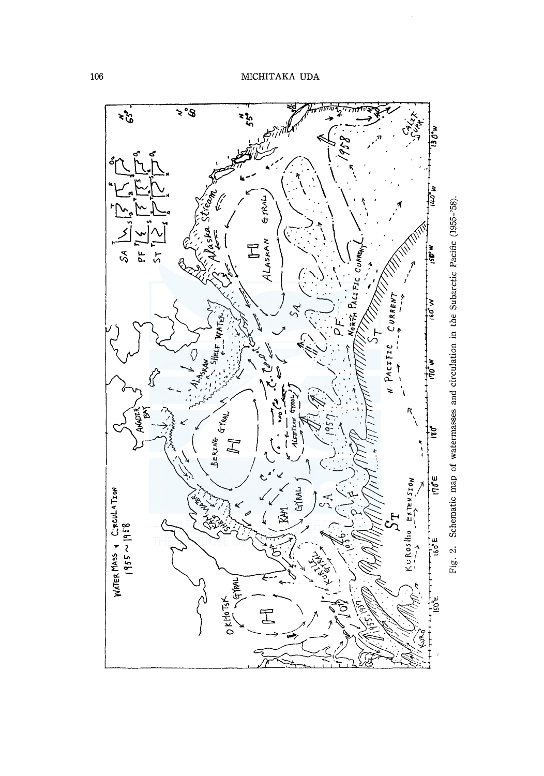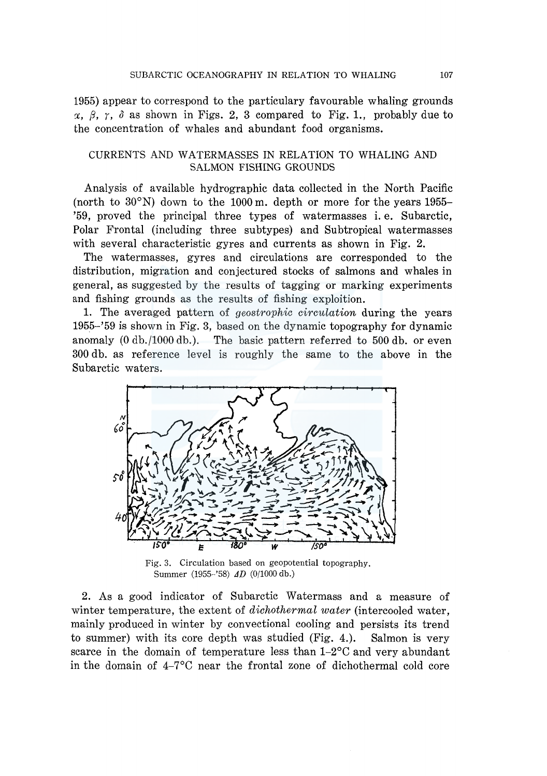1955) appear to correspond to the particulary favourable whaling grounds  $\alpha$ ,  $\beta$ ,  $\gamma$ ,  $\delta$  as shown in Figs. 2, 3 compared to Fig. 1., probably due to the concentration of whales and abundant food organisms.

## CURRENTS AND W ATERMASSES IN RELATION TO WHALING AND SALMON FISHING GROUNDS

Analysis of available hydrographic data collected in the North Pacific (north to  $30^{\circ}$ N) down to the 1000 m. depth or more for the years 1955-'59, proved the principal three types of watermasses i. e. Subarctic, Polar Frontal (including three subtypes) and Subtropical watermasses with several characteristic gyres and currents as shown in Fig. 2.

The watermasses, gyres and circulations are corresponded to the distribution, migration and conjectured stocks of salmons and whales in general, as suggested by the results of tagging or marking experiments and fishing grounds as the results of fishing exploition.

1. The averaged pattern of *geostrophic circulation* during the years 1955-'59 is shown in Fig. 3, based on the dynamic topography for dynamic anomaly (0 db./1000 db.). The basic pattern referred to 500 db. or even 300 db. as reference level is roughly the same to the above in the Subarctic waters.



Fig. 3. Circulation based on geopotential topography. Summer (1955-'58) *tJD* (0/1000 db.)

2. As a good indicator of Subarctic Watermass and a measure of winter temperature, the extent of *dichothermal water* (intercooled water, mainly produced in winter by convectional cooling and persists its trend to summer) with its core depth was studied (Fig. 4.). Salmon is very scarce in the domain of temperature less than  $1-2$ °C and very abundant in the domain of 4-7°C near the frontal zone of dichothermal cold core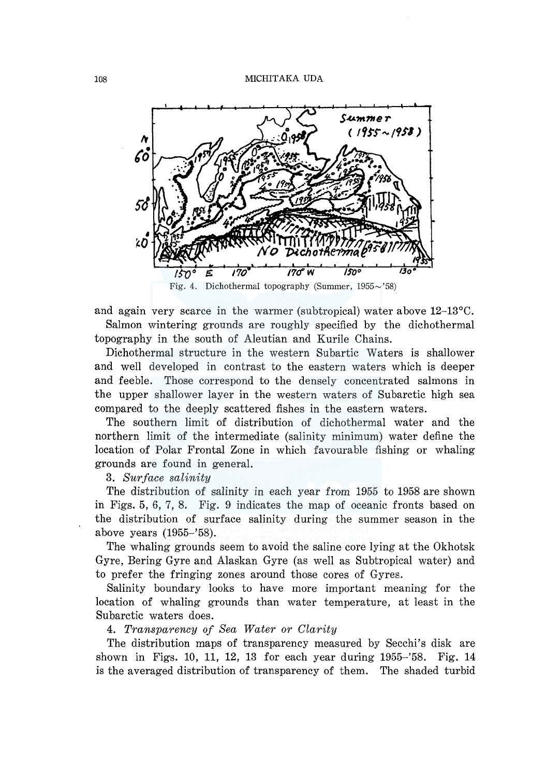

and again very scarce in the warmer (subtropical) water above  $12$ -13 $\degree$ C. Salmon wintering grounds are roughly specified by the dichothermal topography in the south of Aleutian and Kurile Chains.

Dichothermal structure in the western Subartic Waters is shallower and well developed in contrast to the eastern waters which is deeper and feeble. Those correspond to the densely concentrated salmons in the upper shallower layer in the western waters of Subarctic high sea compared to the deeply scattered fishes in the eastern waters.

The southern limit of distribution of dichothermal water and the northern limit of the intermediate (salinity minimum) water define the location of Polar Frontal Zone in which favourable fishing or whaling grounds are found in general.

3. *Surface salinity* 

The distribution of salinity in each year from 1955 to 1958 are shown in Figs. 5, 6, 7, 8. Fig. 9 indicates the map of oceanic fronts based on the distribution of surface salinity during the summer season in the above years (1955-'58).

The whaling grounds seem to avoid the saline core lying at the Okhotsk Gyre, Bering Gyre and Alaskan Gyre (as well as Subtropical water) and to prefer the fringing zones around those cores of Gyres.

Salinity boundary looks to have more important meaning for the location of whaling grounds than water temperature, at least in the Subarctic waters does.

## 4. *Transparency of Sea Water or Clarity*

The distribution maps of transparency measured by Secchi's disk are shown in Figs. 10, 11, 12, 13 for each year during 1955-'58. Fig. 14 is the averaged distribution of transparency of them. The shaded turbid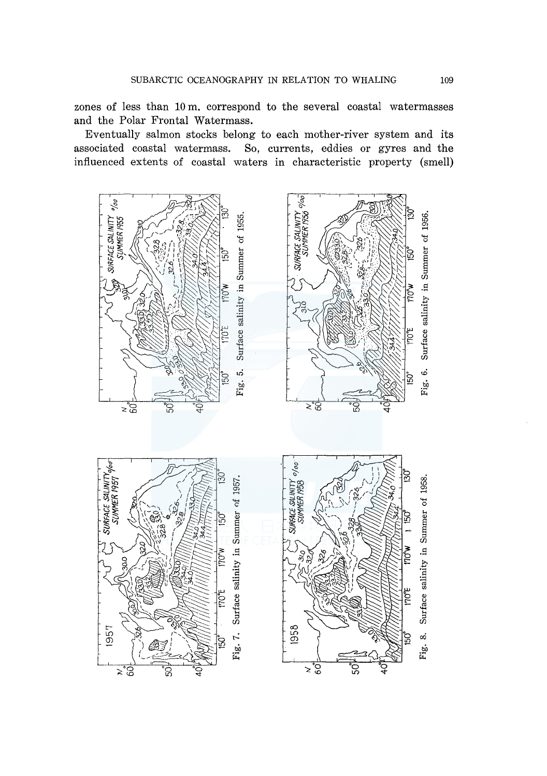zones of less than 10 m. correspond to the several coastal watermasses and the Polar Frontal Watermass.

Eventually salmon stocks belong to each mother-river system and its associated coastal watermass. So, currents, eddies or gyres and the influenced extents of coastal waters in characteristic property (smell)

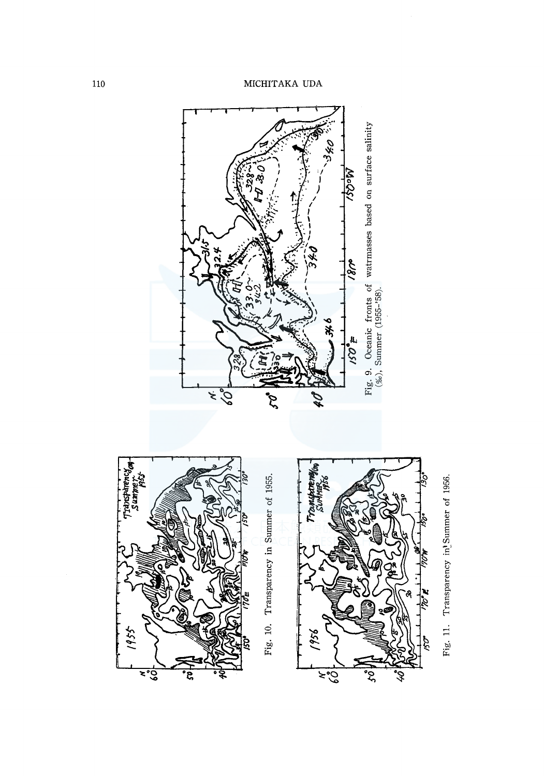

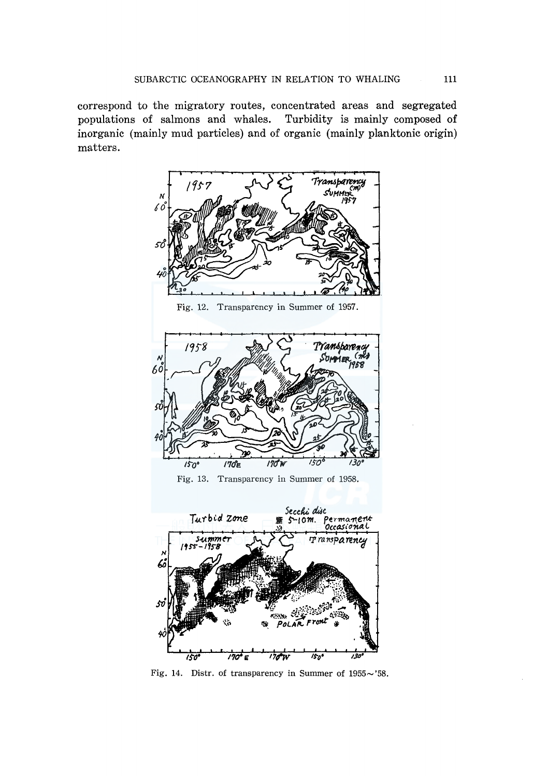correspond to the migratory routes, concentrated areas and segregated populations of salmons and whales. Turbidity is mainly composed of inorganic (mainly mud particles) and of organic (mainly planktonic origin) matters.



Fig. 14. Distr. of transparency in Summer of  $1955 \sim 58$ .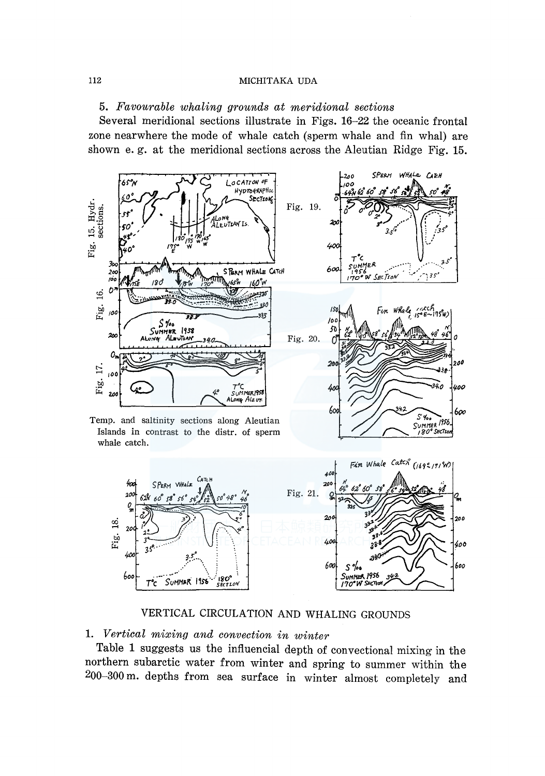5. *Favourable whaling grounds at meridional sections* 

Several meridional sections illustrate in Figs. 16-22 the oceanic frontal zone nearwhere the mode of whale catch (sperm whale and fin whal) are shown e. g. at the meridional sections across the Aleutian Ridge Fig. 15.



VERTICAL CIRCULATION AND WHALING GROUNDS

1. *Vertical mixing and convection in winter* 

Table 1 suggests us the infiuencial depth of convectional mixing in the northern subarctic water from winter and spring to summer within the 200-300 m. depths from sea surface in winter almost completely and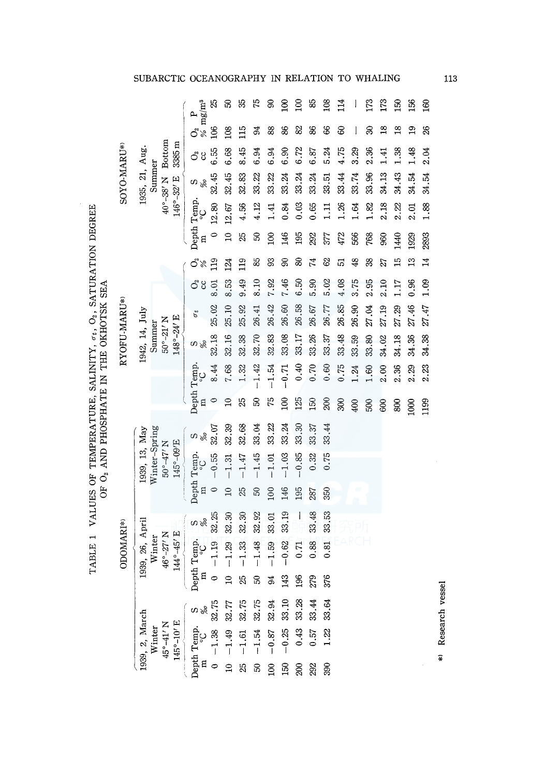| SOYO-MARU*>  | $40^{\circ}$ -38' N Bottom<br>$3385 \text{ m}$<br>1935, 21, Aug.<br>Summer<br>146°-32' E | R,<br>$\frac{O_2}{\%}$ mg/m <sup>3</sup>                                                                                                                                                                                                                                                                           | 50                  | 35            | 52                   | 8              | $\overline{100}$ | $\overline{100}$ | 85                       | 108             | 114   |       | 173   | 173            | 150                     | 156           | 160             |
|--------------|------------------------------------------------------------------------------------------|--------------------------------------------------------------------------------------------------------------------------------------------------------------------------------------------------------------------------------------------------------------------------------------------------------------------|---------------------|---------------|----------------------|----------------|------------------|------------------|--------------------------|-----------------|-------|-------|-------|----------------|-------------------------|---------------|-----------------|
|              |                                                                                          | 106                                                                                                                                                                                                                                                                                                                | 108                 | 115           | 24                   | 88             | 86               | 82               | 86                       | S               | 8     |       | 30    | $\frac{8}{18}$ | $\overline{\mathbf{8}}$ | $\frac{9}{1}$ | 26              |
|              |                                                                                          | 6.55<br>්                                                                                                                                                                                                                                                                                                          | 6.68                | 8.45          | 6.94                 | 6.94           | 6.90             | 6.72             | 6.87                     | 5.24            | 4.75  | 3.29  | 2.36  | 1.41           | 1.38                    | 1.48          | 2.04            |
|              |                                                                                          | 32.45<br>S                                                                                                                                                                                                                                                                                                         | 32.45               | 32.83         | 33.22                | 33.22          | 33.24            | 33.24            | 33.24                    | 33.51           | 33.44 | 33.74 | 33.96 | 34.13          | 34.43                   | 34.54         | 34.54           |
|              |                                                                                          | Depth Temp.<br>12.80                                                                                                                                                                                                                                                                                               | 12.67               | 4.56          | 4.12                 | 1.41           | 0.84             | 0.03             | 0.65                     | $\frac{11}{11}$ | 1.26  | 1.64  | 1.82  | 2.18           | 2.22                    | 2.01          | 1.88            |
|              |                                                                                          |                                                                                                                                                                                                                                                                                                                    | $\overline{a}$      | 25            | S                    | $\approx$      | 146              | 195              | 292                      | 377             | 472   | 566   | 768   | 960            | 1440                    | 1929          | 2893            |
|              |                                                                                          | ්<br>119<br>%                                                                                                                                                                                                                                                                                                      | 124                 | 119           | 85                   | 93             | 80               | 80               | 44                       | 8               | 5     | 48    | 38    | 27             | 묘                       | $\frac{3}{1}$ | $\overline{14}$ |
| RYOFU-MARU*) |                                                                                          | $O_2$<br>cc<br>8.01                                                                                                                                                                                                                                                                                                | 8.53                | 9.49          | 8.10                 | 7.92           | 7.46             | 6.50             | 5.30                     | 5.02            | 4.08  | 3.75  | 2.95  | 2.10           | 1.17                    | 0.96          | 1.09            |
|              | 1942, 14, July<br>148°-24' E<br>$50^{\circ} - 21'$ N<br>Summer                           | 25.02<br>$\sigma_{t}$                                                                                                                                                                                                                                                                                              | 25.10               | 25.92         | 26.41                | 26.42          | 26.60            | 26.58            | 26.67                    | 26.77           | 26.85 | 26.90 | 27.04 | 27.19          | 27.29                   | 27.46         | 27.47           |
|              |                                                                                          | 32.18<br>m                                                                                                                                                                                                                                                                                                         | 32.16               | 32.38         | 32.70                | 32.83          | 33.08            | 33.17            | 33.26                    | 33.37           | 33.48 | 33.59 | 33.80 | 34.02          | 34.18                   | 34.36         | 34.38           |
|              |                                                                                          | 8.44                                                                                                                                                                                                                                                                                                               | 7.68                | 1.32          | $-1.42$              | $-1.54$        | $-0.71$          | 04.0             | 0.70                     | 0.60            | 0.75  | 1.24  | 1.60  | 2.00           | 2.36                    | 2.29          | 2.23            |
|              |                                                                                          |                                                                                                                                                                                                                                                                                                                    |                     |               |                      |                |                  |                  |                          |                 |       |       |       |                |                         |               |                 |
|              |                                                                                          | Depth Temp.                                                                                                                                                                                                                                                                                                        | $\overline{10}$     | 25            | S                    | 75             | 100              | 125              | 150                      | 200             | 300   | 400   | 500   | 600            | 800                     |               | 1199            |
|              |                                                                                          |                                                                                                                                                                                                                                                                                                                    |                     |               |                      |                |                  |                  |                          |                 |       |       |       |                |                         | 1000          |                 |
|              |                                                                                          | 32.07                                                                                                                                                                                                                                                                                                              | 32.39               | 32.68         | 33.04                | 33.22          | 33.24            | 33.30            | 33.37<br>0.32            | 33,44<br>0.75   |       |       |       |                |                         |               |                 |
|              | Winter-Spring<br>1939, 13, May<br>145°-09'E<br>$50^{\circ} - 47'$ N                      | $-0.55$                                                                                                                                                                                                                                                                                                            | $-1.31$<br>$\Omega$ | $-1.47$<br>25 | $-1.45$<br><b>SQ</b> | $-1.01$<br>100 | $-1.03$<br>146   | $-0.85$<br>195   | 287                      | 350             |       |       |       |                |                         |               |                 |
|              |                                                                                          | Depth Temp.<br>$\frac{2}{8}$                                                                                                                                                                                                                                                                                       |                     |               |                      |                |                  | $\mathbf{I}$     |                          |                 |       |       |       |                |                         |               |                 |
|              |                                                                                          | 32.25                                                                                                                                                                                                                                                                                                              | 32.30               | 32.30         | 32.92                | 33.01          | 33.19            |                  | 33.48                    | 33.53           |       |       |       |                |                         |               |                 |
| ODOMARI*>    | 144°-45' E<br>46°-27' N<br>Winter                                                        |                                                                                                                                                                                                                                                                                                                    | $-1.29$             | $-1.33$       | $-1.48$              | $-1.59$        | $-0.62$          | 0.71             | 0.88                     | 0.81            |       |       |       |                |                         |               |                 |
|              | 1939, 26, April                                                                          | Depth Temp.<br>m $\circ C$<br>0 -1.19                                                                                                                                                                                                                                                                              |                     | 25            | $50\,$               | 94             | 143              | 196              | 279                      | 376             |       |       |       |                |                         |               |                 |
|              |                                                                                          |                                                                                                                                                                                                                                                                                                                    |                     |               |                      |                |                  |                  | $33.33.64$<br>$33.33.64$ |                 |       |       |       |                |                         |               |                 |
|              | 1939, 2, March<br>$45^{\circ} - 41'$ N<br>145°-10′ E<br>Winter                           | Depth Temp. $S$<br>m $\begin{array}{l} 0 \\ -1.38 \\ 0 \\ 10 \\ -1.49 \\ 2.75 \\ 0 \\ -1.54 \\ -0.87 \\ -0.33 \\ 0.43 \\ 0.43 \\ 0.04 \\ 0.03 \\ 0.33 \\ 0.04 \\ 0.04 \\ 0.03 \\ 0.33 \\ 0.10 \\ 143 \\ 0.04 \\ 32.75 \\ 0.04 \\ 33.10 \\ 143 \\ 0.06 \\ 0.04 \\ 33.28 \\ 196 \\ 0.04 \\ 33.28 \\ 196 \\ 0.04 \\ $ |                     |               |                      |                |                  |                  |                          | 1.22            |       |       |       |                |                         |               |                 |

UBARCTIC OCEANOGRAPHY IN RELATION TO WHALING

,\_. ,\_. *w* 

\*> Research vessel

 $\hat{\ast}$ 

Research vessel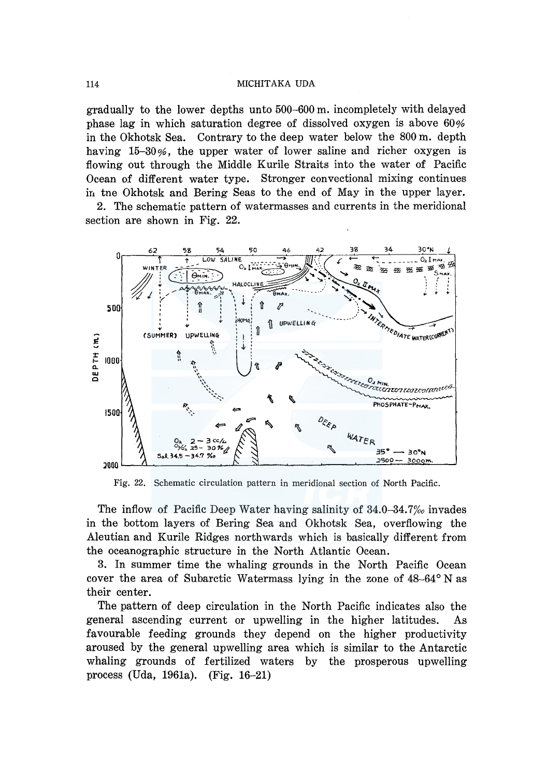gradually to the lower depths unto 500-600 m. incompletely with delayed phase lag in which saturation degree of dissolved oxygen is above 60% in the Okhotsk Sea. Contrary to the deep water below the 800 m. depth having 15-30%, the upper water of lower saline and richer oxygen is flowing out through the Middle Kurile Straits into the water of Pacific Ocean of different water type. Stronger convectional mixing continues in tne Okhotsk and Bering Seas to the end of May in the upper layer.

2. The schematic pattern of watermasses and currents in the meridional section are shown in Fig. 22.



Fig. 22. Schematic circulation pattern in meridional section of North Pacific.

The inflow of Pacific Deep Water having salinity of  $34.0-34.7%$  invades in the bottom layers of Bering Sea and Okhotsk Sea, overflowing the Aleutian and Kurile Ridges northwards which is basically different from the oceanographic structure in the North Atlantic Ocean.

3. In summer time the whaling grounds in the North Pacific Ocean cover the area of Subarctic Watermass lying in the zone of 48-64° N as their center.

The pattern of deep circulation in the North Pacific indicates also the general ascending current or upwelling in the higher latitudes. As favourable feeding grounds they depend on the higher productivity aroused by the general upwelling area which is similar to the Antarctic whaling grounds of fertilized waters by the prosperous upwelling process (Uda, 1961a). (Fig. 16-21)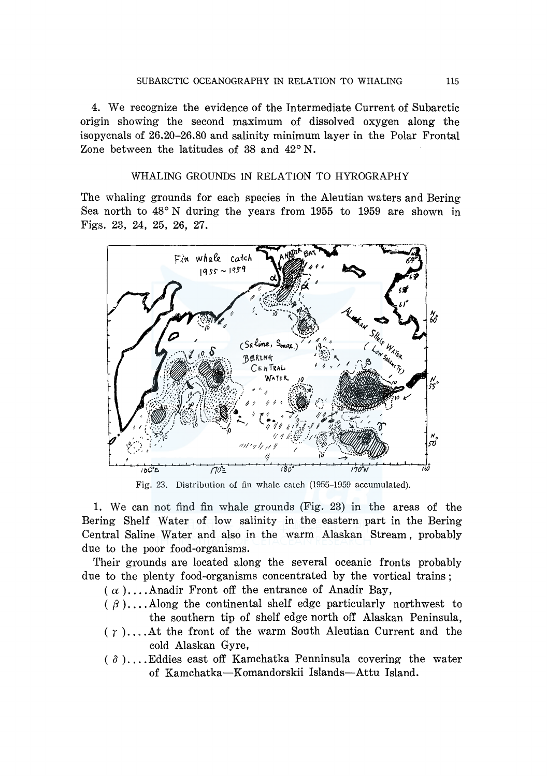4. We recognize the evidence of the Intermediate Current of Subarctic origin showing the second maximum of dissolved oxygen along the isopycnals of 26.20-26.80 and salinity minimum layer in the Polar Frontal Zone between the latitudes of 38 and  $42^{\circ}$  N.

## WHALING GROUNDS IN RELATION TO HYROGRAPHY

The whaling grounds for each species in the Aleutian waters and Bering Sea north to 48° N during the years from 1955 to 1959 are shown in Figs. 23, 24, 25, 26, 27.



Fig. 23. Distribution of fin whale catch (1955-1959 accumulated).

1. We can not find fin whale grounds (Fig. 23) in the areas of the Bering Shelf Water of low salinity in the eastern part in the Bering Central Saline Water and also in the warm Alaskan Stream, probably due to the poor food-organisms.

Their grounds are located along the several oceanic fronts probably due to the plenty food-organisms concentrated by the vortical trains;

- $(\alpha)$ .... Anadir Front off the entrance of Anadir Bay,
- $(\beta)$ ....Along the continental shelf edge particularly northwest to the southern tip of shelf edge north off Alaskan Peninsula,
- $(\gamma)$ .... At the front of the warm South Aleutian Current and the cold Alaskan Gyre,
- $( \delta )$ .... Eddies east off Kamchatka Penninsula covering the water of Kamchatka-Komandorskii Islands-Attu Island.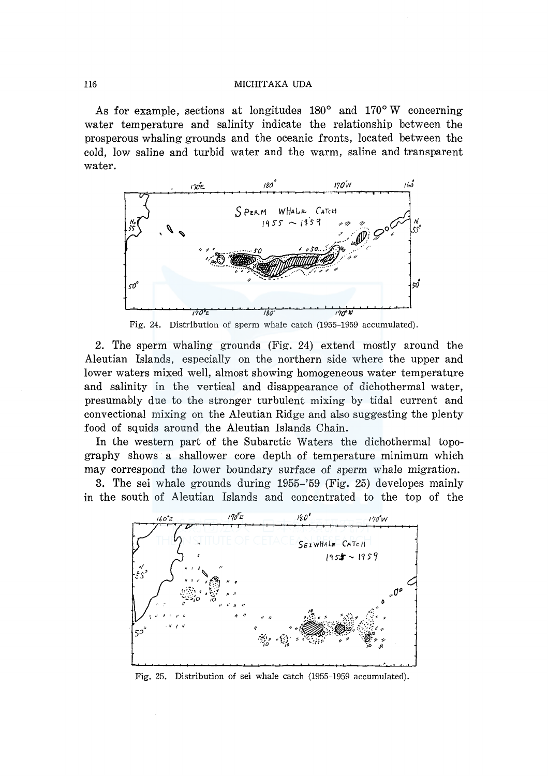As for example, sections at longitudes  $180^\circ$  and  $170^\circ$  W concerning water temperature and salinity indicate the relationship between the prosperous whaling grounds and the oceanic fronts, located between the cold, low saline and turbid water and the warm, saline and transparent water.



Fig. 24. Distribution of sperm whale catch (1955-1959 accumulated).

2. The sperm whaling grounds (Fig. 24) extend mostly around the Aleutian Islands, especially on the northern side where the upper and lower waters mixed well, almost showing homogeneous water temperature and salinity in the vertical and disappearance of dichothermal water, presumably due to the stronger turbulent mixing by tidal current and convectional mixing on the Aleutian Ridge and also suggesting the plenty food of squids around the Aleutian Islands Chain.

In the western part of the Subarctic Waters the dichothermal topography shows a shallower core depth of temperature minimum which may correspond the lower boundary surface of sperm whale migration.

3. The sei whale grounds during 1955–'59 (Fig. 25) developes mainly in the south of Aleutian Islands and concentrated to the top of the



Fig. 25. Distribution of sei whale catch (1955-1959 accumulated).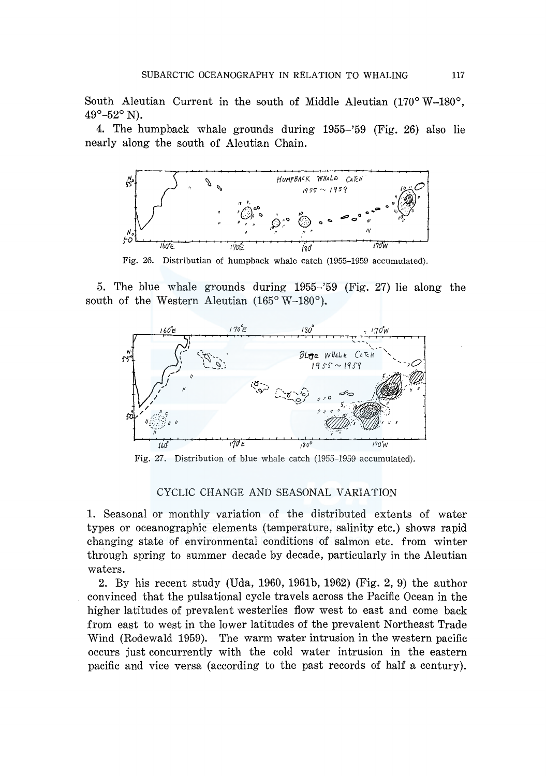South Aleutian Current in the south of Middle Aleutian (170°W-180°,  $49^{\circ} - 52^{\circ}$  N).

4. The humpback whale grounds during 1955–'59 (Fig. 26) also lie nearly along the south of Aleutian Chain.



Fig. 26. Distributian of humpback whale catch (1955-1959 accumulated).

5. The blue whale grounds during 1955–'59 (Fig. 27) lie along the south of the Western Aleutian (165° W-180°).



Fig. 27. Distribution of blue whale catch (1955-1959 accumulated).

## CYCLIC CHANGE AND SEASONAL VARIATION

1. Seasonal or monthly variation of the distributed extents of water types or oceanographic elements (temperature, salinity etc.) shows rapid changing state of environmental conditions of salmon etc. from winter through spring to summer decade by decade, particularly in the Aleutian waters.

2. By his recent study (Uda, 1960, 1961b, 1962) (Fig. 2, 9) the author convinced that the pulsational cycle travels across the Pacific Ocean in the higher latitudes of prevalent westerlies flow west to east and come back from east to west in the lower latitudes of the prevalent Northeast Trade Wind (Rodewald 1959). The warm water intrusion in the western pacific occurs just concurrently with the cold water intrusion in the eastern pacific and vice versa (according to the past records of half a century).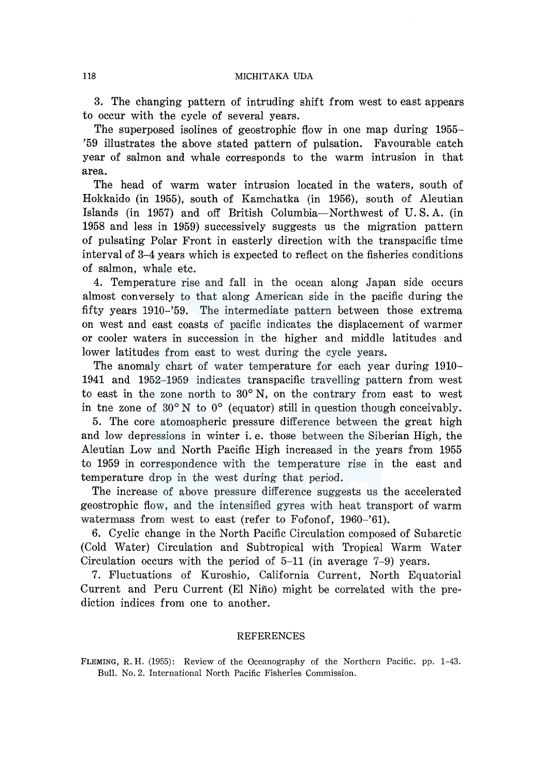3. The changing pattern of intruding shift from west to east appears to occur with the cycle of several years.

The superposed isolines of geostrophic flow in one map during 1955– '59 illustrates the above stated pattern of pulsation. Favourable catch year of salmon and whale corresponds to the warm intrusion in that area.

The head of warm water intrusion located in the waters, south of Hokkaido (in 1955), south of Kamchatka (in 1956), south of Aleutian Islands (in 1957) and off British Columbia-Northwest of U.S. A. (in 1958 and less in 1959) successively suggests us the migration pattern of pulsating Polar Front in easterly direction with the transpacific time interval of 3-4 years which is expected to reflect on the fisheries conditions of salmon, whale etc.

4. Temperature rise and fall in the ocean along Japan side occurs almost conversely to that along American side in the pacific during the fifty years 1910-'59. The intermediate pattern between those extrema on west and east coasts of pacific indicates the displacement of warmer or cooler waters in succession in the higher and middle latitudes and lower latitudes from east to west during the cycle years.

The anomaly chart of water temperature for each year during 1910- 1941 and 1952-1959 indicates transpacific travelling pattern from west to east in the zone north to  $30^{\circ}$  N, on the contrary from east to west in tne zone of  $30^{\circ}$  N to  $0^{\circ}$  (equator) still in question though conceivably.

5. The core atomospheric pressure difference between the great high and low depressions in winter i. e. those between the Siberian High, the Aleutian Low and North Pacific High increased in the years from 1955 to 1959 in correspondence with the temperature rise in the east and temperature drop in the west during that period.

The increase of above pressure difference suggests us the accelerated geostrophic flow, and the intensified gyres with heat transport of warm watermass from west to east (refer to Fofonof, 1960-'61).

6. Cyclic change in the North Pacific Circulation composed of Subarctic (Cold Water) Circulation and Subtropical with Tropical Warm Water Circulation occurs with the period of 5-11 (in average 7-9) years.

7. Fluctuations of Kuroshio, California Current, North Equatorial Current and Peru Current (El Nino) might be correlated with the prediction indices from one to another.

#### REFERENCES

FLEMING, R.H. (1955): Review of the Oceanography of the Northern Pacific. pp. 1-43. Bull. No. 2. International North Pacific Fisheries Commission.